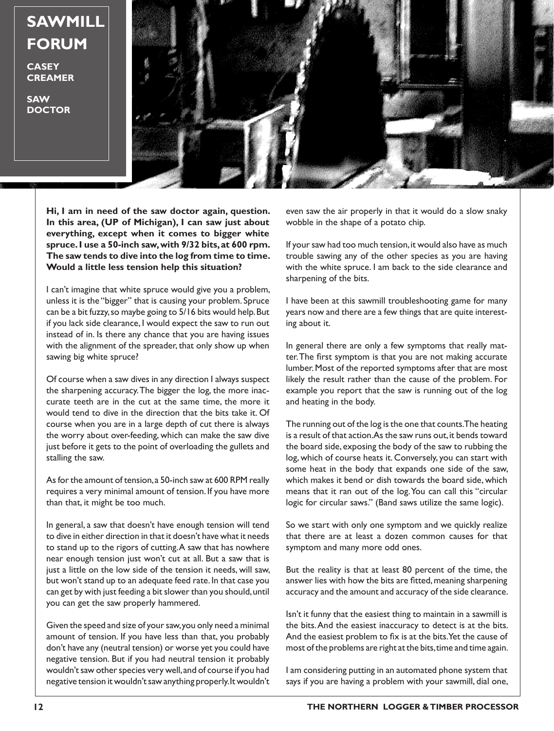## **SAWMILL FORUM**

**CASEY CREAMER**

**SAW DOCTOR**



**Hi, I am in need of the saw doctor again, question. In this area, (UP of Michigan), I can saw just about everything, except when it comes to bigger white spruce. I use a 50-inch saw, with 9/32 bits, at 600 rpm. The saw tends to dive into the log from time to time. Would a little less tension help this situation?** 

I can't imagine that white spruce would give you a problem, unless it is the "bigger" that is causing your problem. Spruce can be a bit fuzzy, so maybe going to 5/16 bits would help. But if you lack side clearance, I would expect the saw to run out instead of in. Is there any chance that you are having issues with the alignment of the spreader, that only show up when sawing big white spruce?

Of course when a saw dives in any direction I always suspect the sharpening accuracy. The bigger the log, the more inaccurate teeth are in the cut at the same time, the more it would tend to dive in the direction that the bits take it. Of course when you are in a large depth of cut there is always the worry about over-feeding, which can make the saw dive just before it gets to the point of overloading the gullets and stalling the saw.

As for the amount of tension, a 50-inch saw at 600 RPM really requires a very minimal amount of tension. If you have more than that, it might be too much.

In general, a saw that doesn't have enough tension will tend to dive in either direction in that it doesn't have what it needs to stand up to the rigors of cutting. A saw that has nowhere near enough tension just won't cut at all. But a saw that is just a little on the low side of the tension it needs, will saw, but won't stand up to an adequate feed rate. In that case you can get by with just feeding a bit slower than you should, until you can get the saw properly hammered.

Given the speed and size of your saw, you only need a minimal amount of tension. If you have less than that, you probably don't have any (neutral tension) or worse yet you could have negative tension. But if you had neutral tension it probably wouldn't saw other species very well, and of course if you had negative tension it wouldn't saw anything properly. It wouldn't even saw the air properly in that it would do a slow snaky wobble in the shape of a potato chip.

If your saw had too much tension, it would also have as much trouble sawing any of the other species as you are having with the white spruce. I am back to the side clearance and sharpening of the bits.

I have been at this sawmill troubleshooting game for many years now and there are a few things that are quite interesting about it.

In general there are only a few symptoms that really matter. The first symptom is that you are not making accurate lumber. Most of the reported symptoms after that are most likely the result rather than the cause of the problem. For example you report that the saw is running out of the log and heating in the body.

The running out of the log is the one that counts. The heating is a result of that action. As the saw runs out, it bends toward the board side, exposing the body of the saw to rubbing the log, which of course heats it. Conversely, you can start with some heat in the body that expands one side of the saw, which makes it bend or dish towards the board side, which means that it ran out of the log. You can call this "circular logic for circular saws." (Band saws utilize the same logic).

So we start with only one symptom and we quickly realize that there are at least a dozen common causes for that symptom and many more odd ones.

But the reality is that at least 80 percent of the time, the answer lies with how the bits are fitted, meaning sharpening accuracy and the amount and accuracy of the side clearance.

Isn't it funny that the easiest thing to maintain in a sawmill is the bits. And the easiest inaccuracy to detect is at the bits. And the easiest problem to fix is at the bits. Yet the cause of most of the problems are right at the bits, time and time again.

I am considering putting in an automated phone system that says if you are having a problem with your sawmill, dial one,